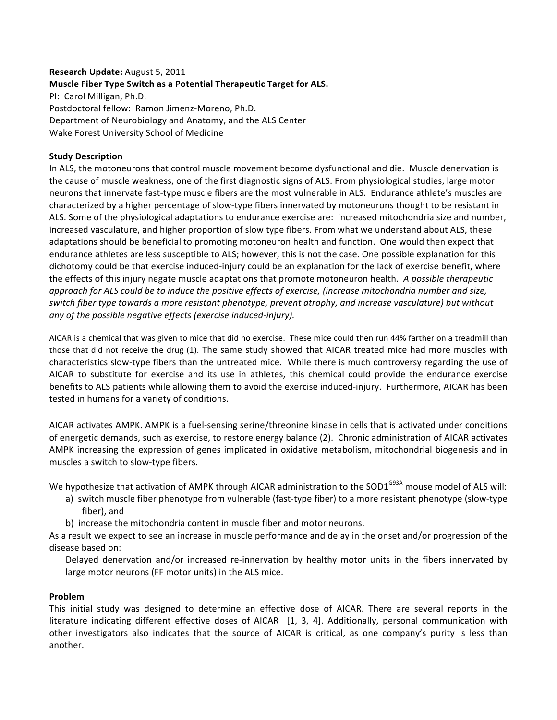# **Research
Update:**August
5,
2011 **Muscle
Fiber
Type
Switch
as
a
Potential
Therapeutic
Target
for
ALS.** PI:

Carol
Milligan,
Ph.D. Postdoctoral
fellow:

Ramon
Jimenz‐Moreno,
Ph.D. Department
of
Neurobiology
and
Anatomy,
and
the
ALS
Center Wake
Forest
University
School
of
Medicine

### **Study
Description**

In ALS, the motoneurons that control muscle movement become dysfunctional and die. Muscle denervation is the cause of muscle weakness, one of the first diagnostic signs of ALS. From physiological studies, large motor neurons that innervate fast-type muscle fibers are the most vulnerable in ALS. Endurance athlete's muscles are characterized by a higher percentage of slow-type fibers innervated by motoneurons thought to be resistant in ALS.
Some
of
the
physiological
adaptations
to
endurance
exercise
are:

increased
mitochondria
size
and
number, increased vasculature, and higher proportion of slow type fibers. From what we understand about ALS, these adaptations
should
be
beneficial
to
promoting
motoneuron
health
and
function.

One
would
then
expect
that endurance athletes are less susceptible to ALS; however, this is not the case. One possible explanation for this dichotomy could be that exercise induced-injury could be an explanation for the lack of exercise benefit, where the
effects
of
this
injury
negate
muscle
adaptations
that
promote
motoneuron
health. *A
possible
therapeutic*  approach for ALS could be to induce the positive effects of exercise, (increase mitochondria number and size, switch fiber type towards a more resistant phenotype, prevent atrophy, and increase vasculature) but without *any
of
the
possible
negative
effects
(exercise
induced‐injury).*

AICAR is a chemical that was given to mice that did no exercise. These mice could then run 44% farther on a treadmill than those that did not receive the drug (1). The same study showed that AICAR treated mice had more muscles with characteristics slow-type fibers than the untreated mice. While there is much controversy regarding the use of AICAR to substitute for exercise and its use in athletes, this chemical could provide the endurance exercise benefits to ALS patients while allowing them to avoid the exercise induced-injury. Furthermore, AICAR has been tested
in
humans
for
a
variety
of
conditions.

AICAR activates AMPK. AMPK is a fuel-sensing serine/threonine kinase in cells that is activated under conditions of
energetic
demands,
such
as
exercise,
to
restore
energy
balance
(2).

Chronic
administration
of
AICAR
activates AMPK increasing the expression of genes implicated in oxidative metabolism, mitochondrial biogenesis and in muscles a switch to slow-type fibers.

We hypothesize that activation of AMPK through AICAR administration to the SOD1<sup>G93A</sup> mouse model of ALS will:

- a) switch muscle fiber phenotype from vulnerable (fast-type fiber) to a more resistant phenotype (slow-type fiber),
and
- b)

increase
the
mitochondria
content
in
muscle
fiber
and
motor
neurons.

As a result we expect to see an increase in muscle performance and delay in the onset and/or progression of the disease
based
on:

Delayed denervation and/or increased re-innervation by healthy motor units in the fibers innervated by large
motor
neurons
(FF
motor
units)
in
the
ALS
mice.

## **Problem**

This initial study was designed to determine an effective dose of AICAR. There are several reports in the literature indicating different effective doses of AICAR [1, 3, 4]. Additionally, personal communication with other investigators also indicates that the source of AICAR is critical, as one company's purity is less than another.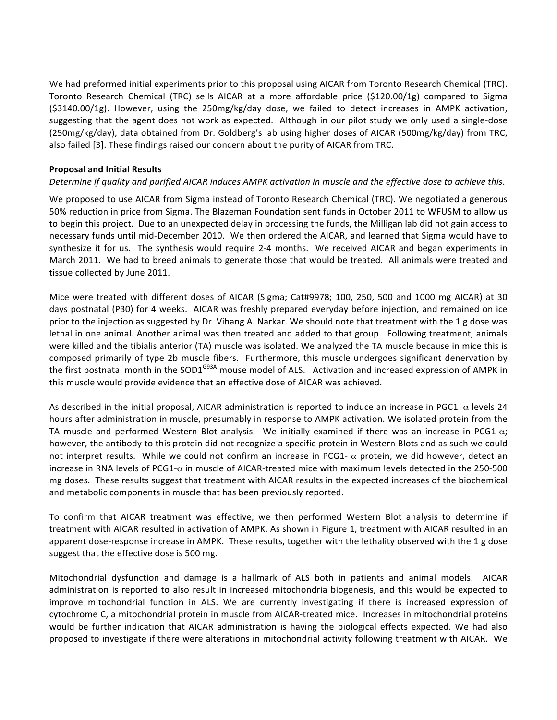We had preformed initial experiments prior to this proposal using AICAR from Toronto Research Chemical (TRC). Toronto Research Chemical (TRC) sells AICAR at a more affordable price (\$120.00/1g) compared to Sigma (\$3140.00/1g).
 However,
 using
 the
 250mg/kg/day
 dose,
 we
 failed
 to
 detect
 increases
 in
 AMPK
 activation, suggesting that the agent does not work as expected. Although in our pilot study we only used a single-dose (250mg/kg/day), data obtained from Dr. Goldberg's lab using higher doses of AICAR (500mg/kg/day) from TRC, also
failed
[3].
These
findings
raised
our
concern
about
the
purity
of
AICAR
from
TRC.

## **Proposal
and
Initial
Results**

# Determine if quality and purified AICAR induces AMPK activation in muscle and the effective dose to achieve this.

We proposed to use AICAR from Sigma instead of Toronto Research Chemical (TRC). We negotiated a generous 50% reduction in price from Sigma. The Blazeman Foundation sent funds in October 2011 to WFUSM to allow us to begin this project. Due to an unexpected delay in processing the funds, the Milligan lab did not gain access to necessary funds until mid-December 2010. We then ordered the AICAR, and learned that Sigma would have to synthesize it for us. The synthesis would require 2-4 months. We received AICAR and began experiments in March 2011. We had to breed animals to generate those that would be treated. All animals were treated and tissue
collected
by
June
2011.

Mice were treated with different doses of AICAR (Sigma; Cat#9978; 100, 250, 500 and 1000 mg AICAR) at 30 days postnatal (P30) for 4 weeks. AICAR was freshly prepared everyday before injection, and remained on ice prior to the injection as suggested by Dr. Vihang A. Narkar. We should note that treatment with the 1 g dose was lethal in one animal. Another animal was then treated and added to that group. Following treatment, animals were killed and the tibialis anterior (TA) muscle was isolated. We analyzed the TA muscle because in mice this is composed primarily of type 2b muscle fibers. Furthermore, this muscle undergoes significant denervation by the first postnatal month in the SOD1<sup>G93A</sup> mouse model of ALS. Activation and increased expression of AMPK in this
muscle
would
provide
evidence
that
an
effective
dose
of
AICAR
was
achieved.

As described in the initial proposal, AICAR administration is reported to induce an increase in PGC1- $\alpha$  levels 24 hours after administration in muscle, presumably in response to AMPK activation. We isolated protein from the TA muscle and performed Western Blot analysis. We initially examined if there was an increase in PCG1-α; however, the antibody to this protein did not recognize a specific protein in Western Blots and as such we could not interpret results. While we could not confirm an increase in PCG1-  $\alpha$  protein, we did however, detect an increase in RNA levels of PCG1- $\alpha$  in muscle of AICAR-treated mice with maximum levels detected in the 250-500 mg
doses.

These
results
suggest
that
treatment
with
AICAR
results
in
the
expected
increases
of
the
biochemical and
metabolic
components
in
muscle
that
has
been
previously
reported.

To confirm that AICAR treatment was effective, we then performed Western Blot analysis to determine if treatment with AICAR resulted in activation of AMPK. As shown in Figure 1, treatment with AICAR resulted in an apparent dose-response increase in AMPK. These results, together with the lethality observed with the 1 g dose suggest
that
the
effective
dose
is
500
mg.

Mitochondrial dysfunction and damage is a hallmark of ALS both in patients and animal models. AICAR administration is reported to also result in increased mitochondria biogenesis, and this would be expected to improve mitochondrial function in ALS. We are currently investigating if there is increased expression of cytochrome C, a mitochondrial protein in muscle from AICAR-treated mice. Increases in mitochondrial proteins would be further indication that AICAR administration is having the biological effects expected. We had also proposed to investigate if there were alterations in mitochondrial activity following treatment with AICAR. We